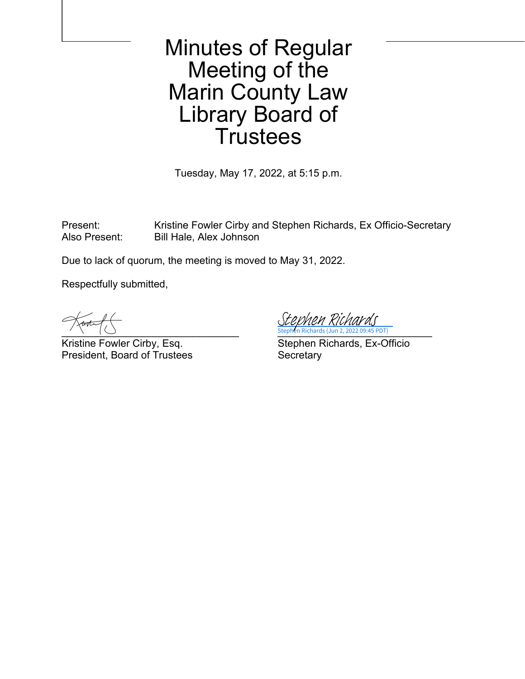## Minutes of Regular Meeting of the Marin County Law Library Board of **Trustees**

Tuesday, May 17, 2022, at 5:15 p.m.

Present: Kristine Fowler Cirby and Stephen Richards, Ex Officio-Secretary Also Present: Bill Hale, Alex Johnson

Due to lack of quorum, the meeting is moved to May 31, 2022.

Respectfully submitted,

President, Board of Trustees Secretary

 $\longrightarrow$   $\setminus$   $\setminus$   $\setminus$   $\setminus$   $\setminus$   $\setminus$   $\setminus$   $\setminus$   $\setminus$   $\setminus$   $\setminus$   $\setminus$   $\setminus$   $\setminus$   $\setminus$   $\setminus$   $\setminus$   $\setminus$   $\setminus$   $\setminus$   $\setminus$   $\setminus$   $\setminus$   $\setminus$   $\setminus$   $\setminus$   $\setminus$   $\setminus$   $\setminus$   $\setminus$   $\setminus$   $\setminus$   $\setminus$   $\setminus$   $\setminus$   $\setminus$   $45$  PDT) ien Richards

Kristine Fowler Cirby, Esq. Stephen Richards, Ex-Officio